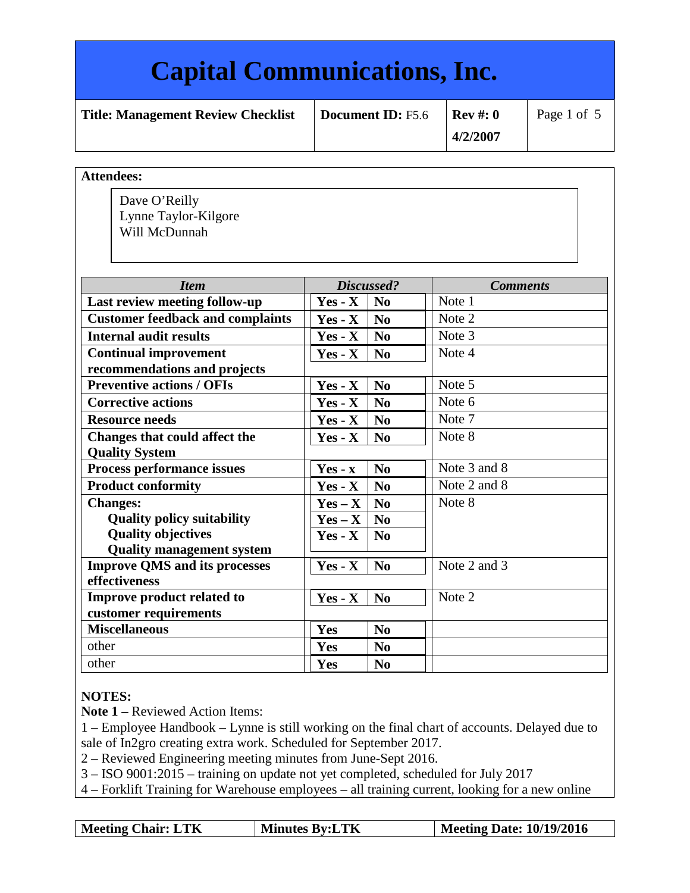## **Capital Communications, Inc. Title: Management Review Checklist** | Document ID: **F5.6** | Rev #: 0 **4/2/2007** Page 1 of 5 **Attendees:**  *Item Discussed? Comments* **Last review meeting follow-up**  $\vert \vert$  **Yes - X**  $\vert$  **No**  $\vert$  Note 1 **Customer feedback and complaints**  $\left| \n\begin{array}{cc} \n\mathbf{Yes} \cdot \mathbf{X} & \n\mathbf{No} \\
\end{array} \n\right|$  Note 2 **Internal audit results Yes - X No** Note 3 **Continual improvement recommendations and projects Yes - X** | **No**  $\blacksquare$  | Note 4 **Preventive actions / OFIs Yes - X No** Note 5 **Corrective actions**  $\begin{array}{c|c|c|c} \hline \textbf{Y} & \textbf{Y} & \textbf{N_0} \end{array}$  Note 6 **Resource needs**  $Y$ **es -**  $X$  **No**  $\overline{Y}$  Note 7 **Changes that could affect the Quality System**  $Yes - X \mid No$  Note 8 **Process performance issues**  $\boxed{Yes - x \mid No}$  Note 3 and 8 **Product conformity**  $\begin{bmatrix} \mathbf{Yes} \cdot \mathbf{X} \end{bmatrix} \begin{bmatrix} \mathbf{No} \end{bmatrix}$  Note 2 and 8 **Changes: Quality policy suitability Quality objectives Quality management system**   $Yes - X \mid No$  $Yes - X \mid No$  $Yes - X \mid No$ Note 8 **Improve QMS and its processes effectiveness**  $Yes - X \mid No \mid Note 2 \text{ and } 3$ **Improve product related to customer requirements**  $Yes - X \mid N_0 \mid Note 2$ **Miscellaneous Yes No** other **No** other **Yes No** Dave O'Reilly Lynne Taylor-Kilgore Will McDunnah

#### **NOTES:**

**Note 1 –** Reviewed Action Items:

1 – Employee Handbook – Lynne is still working on the final chart of accounts. Delayed due to sale of In2gro creating extra work. Scheduled for September 2017.

2 – Reviewed Engineering meeting minutes from June-Sept 2016.

3 – ISO 9001:2015 – training on update not yet completed, scheduled for July 2017

4 – Forklift Training for Warehouse employees – all training current, looking for a new online

| <b>Minutes By:LTK</b><br><b>Meeting Chair: LTK</b> | Meeting Date: 10/19/2016 |
|----------------------------------------------------|--------------------------|
|----------------------------------------------------|--------------------------|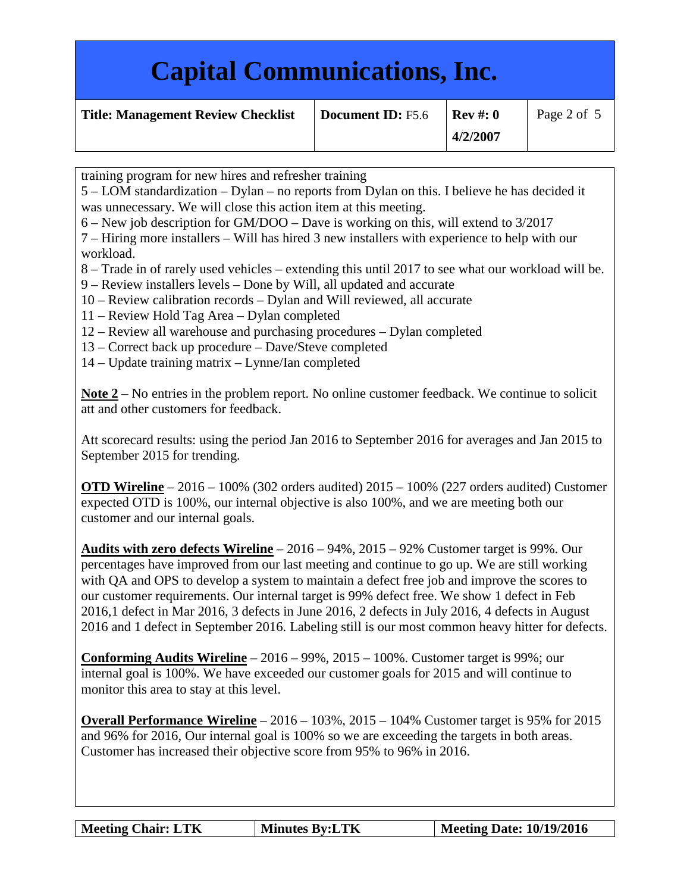| <b>Capital Communications, Inc.</b>       |                   |                         |             |
|-------------------------------------------|-------------------|-------------------------|-------------|
| <b>Title: Management Review Checklist</b> | Document ID: F5.6 | $Rev \#: 0$<br>4/2/2007 | Page 2 of 5 |

training program for new hires and refresher training

5 – LOM standardization – Dylan – no reports from Dylan on this. I believe he has decided it was unnecessary. We will close this action item at this meeting.

6 – New job description for GM/DOO – Dave is working on this, will extend to 3/2017

7 – Hiring more installers – Will has hired 3 new installers with experience to help with our workload.

8 – Trade in of rarely used vehicles – extending this until 2017 to see what our workload will be.

9 – Review installers levels – Done by Will, all updated and accurate

- 10 Review calibration records Dylan and Will reviewed, all accurate
- 11 Review Hold Tag Area Dylan completed
- 12 Review all warehouse and purchasing procedures Dylan completed
- 13 Correct back up procedure Dave/Steve completed
- 14 Update training matrix Lynne/Ian completed

**Note 2** – No entries in the problem report. No online customer feedback. We continue to solicit att and other customers for feedback.

Att scorecard results: using the period Jan 2016 to September 2016 for averages and Jan 2015 to September 2015 for trending.

**OTD Wireline** – 2016 – 100% (302 orders audited) 2015 – 100% (227 orders audited) Customer expected OTD is 100%, our internal objective is also 100%, and we are meeting both our customer and our internal goals.

**Audits with zero defects Wireline** – 2016 – 94%, 2015 – 92% Customer target is 99%. Our percentages have improved from our last meeting and continue to go up. We are still working with QA and OPS to develop a system to maintain a defect free job and improve the scores to our customer requirements. Our internal target is 99% defect free. We show 1 defect in Feb 2016,1 defect in Mar 2016, 3 defects in June 2016, 2 defects in July 2016, 4 defects in August 2016 and 1 defect in September 2016. Labeling still is our most common heavy hitter for defects.

**Conforming Audits Wireline** – 2016 – 99%, 2015 – 100%. Customer target is 99%; our internal goal is 100%. We have exceeded our customer goals for 2015 and will continue to monitor this area to stay at this level.

**Overall Performance Wireline** – 2016 – 103%, 2015 – 104% Customer target is 95% for 2015 and 96% for 2016, Our internal goal is 100% so we are exceeding the targets in both areas. Customer has increased their objective score from 95% to 96% in 2016.

| <b>Meeting Chair: LTK</b> | <b>Minutes By:LTK</b> | Meeting Date: 10/19/2016 |
|---------------------------|-----------------------|--------------------------|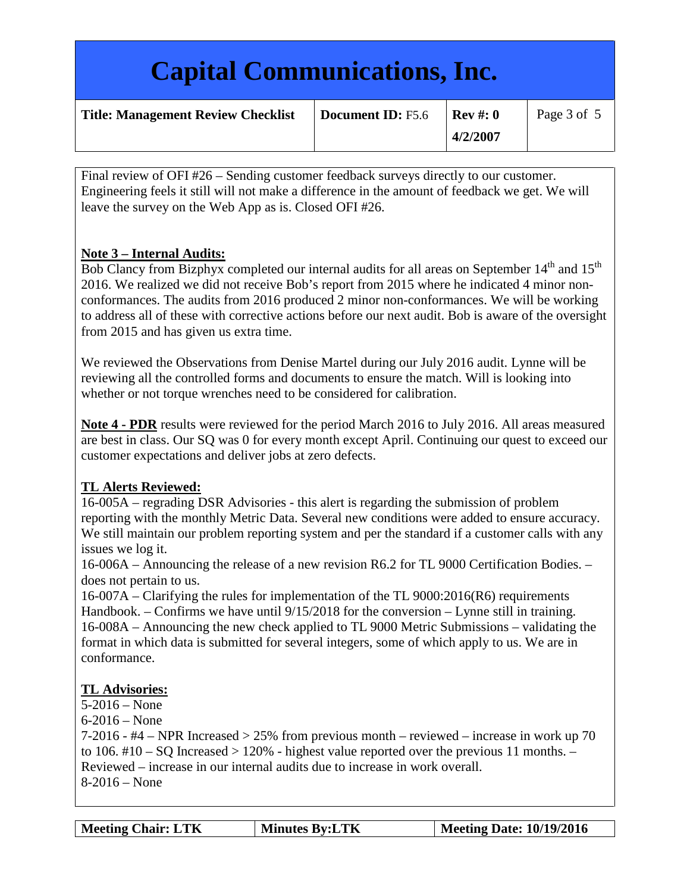| <b>Capital Communications, Inc.</b>       |                          |                         |             |
|-------------------------------------------|--------------------------|-------------------------|-------------|
| <b>Title: Management Review Checklist</b> | <b>Document ID: F5.6</b> | $Rev \#: 0$<br>4/2/2007 | Page 3 of 5 |

Final review of OFI #26 – Sending customer feedback surveys directly to our customer. Engineering feels it still will not make a difference in the amount of feedback we get. We will leave the survey on the Web App as is. Closed OFI #26.

## **Note 3 – Internal Audits:**

Bob Clancy from Bizphyx completed our internal audits for all areas on September  $14<sup>th</sup>$  and  $15<sup>th</sup>$ 2016. We realized we did not receive Bob's report from 2015 where he indicated 4 minor nonconformances. The audits from 2016 produced 2 minor non-conformances. We will be working to address all of these with corrective actions before our next audit. Bob is aware of the oversight from 2015 and has given us extra time.

We reviewed the Observations from Denise Martel during our July 2016 audit. Lynne will be reviewing all the controlled forms and documents to ensure the match. Will is looking into whether or not torque wrenches need to be considered for calibration.

**Note 4 - PDR** results were reviewed for the period March 2016 to July 2016. All areas measured are best in class. Our SQ was 0 for every month except April. Continuing our quest to exceed our customer expectations and deliver jobs at zero defects.

## **TL Alerts Reviewed:**

16-005A – regrading DSR Advisories - this alert is regarding the submission of problem reporting with the monthly Metric Data. Several new conditions were added to ensure accuracy. We still maintain our problem reporting system and per the standard if a customer calls with any issues we log it.

16-006A – Announcing the release of a new revision R6.2 for TL 9000 Certification Bodies. – does not pertain to us.

16-007A – Clarifying the rules for implementation of the TL 9000:2016(R6) requirements Handbook. – Confirms we have until 9/15/2018 for the conversion – Lynne still in training. 16-008A – Announcing the new check applied to TL 9000 Metric Submissions – validating the format in which data is submitted for several integers, some of which apply to us. We are in conformance.

#### **TL Advisories:**

5-2016 – None

6-2016 – None

7-2016 - #4 – NPR Increased > 25% from previous month – reviewed – increase in work up 70 to 106.  $\#10 - SO$  Increased  $> 120\%$  - highest value reported over the previous 11 months.  $-$ Reviewed – increase in our internal audits due to increase in work overall. 8-2016 – None

| <b>Meeting Chair: LTK</b> | <b>Minutes By:LTK</b> | Meeting Date: 10/19/2016 |
|---------------------------|-----------------------|--------------------------|
|---------------------------|-----------------------|--------------------------|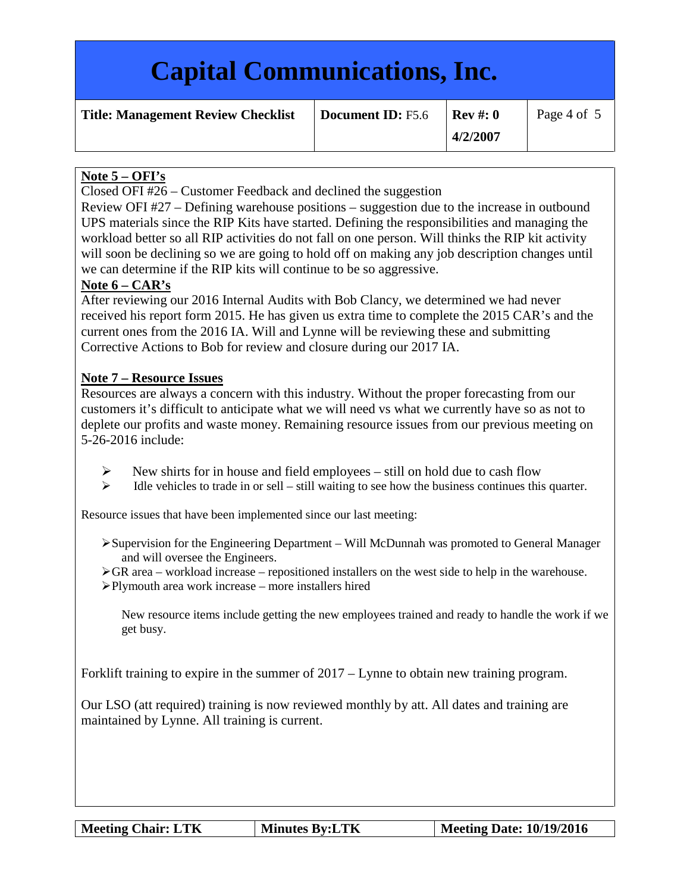# **Capital Communications, Inc.**

| <b>Title: Management Review Checklist</b> |  |  |  |
|-------------------------------------------|--|--|--|
|-------------------------------------------|--|--|--|

**Document ID:**  $F5.6$  **Rev** #: 0

# **Note 5 – OFI's**

Closed OFI #26 – Customer Feedback and declined the suggestion

Review OFI #27 – Defining warehouse positions – suggestion due to the increase in outbound UPS materials since the RIP Kits have started. Defining the responsibilities and managing the workload better so all RIP activities do not fall on one person. Will thinks the RIP kit activity will soon be declining so we are going to hold off on making any job description changes until we can determine if the RIP kits will continue to be so aggressive.

## **Note 6 – CAR's**

After reviewing our 2016 Internal Audits with Bob Clancy, we determined we had never received his report form 2015. He has given us extra time to complete the 2015 CAR's and the current ones from the 2016 IA. Will and Lynne will be reviewing these and submitting Corrective Actions to Bob for review and closure during our 2017 IA.

## **Note 7 – Resource Issues**

Resources are always a concern with this industry. Without the proper forecasting from our customers it's difficult to anticipate what we will need vs what we currently have so as not to deplete our profits and waste money. Remaining resource issues from our previous meeting on 5-26-2016 include:

- $\triangleright$  New shirts for in house and field employees still on hold due to cash flow
- $\triangleright$  Idle vehicles to trade in or sell still waiting to see how the business continues this quarter.

Resource issues that have been implemented since our last meeting:

- $\triangleright$  Supervision for the Engineering Department Will McDunnah was promoted to General Manager and will oversee the Engineers.
- $\triangleright$  GR area workload increase repositioned installers on the west side to help in the warehouse.
- Plymouth area work increase more installers hired

New resource items include getting the new employees trained and ready to handle the work if we get busy.

Forklift training to expire in the summer of 2017 – Lynne to obtain new training program.

Our LSO (att required) training is now reviewed monthly by att. All dates and training are maintained by Lynne. All training is current.